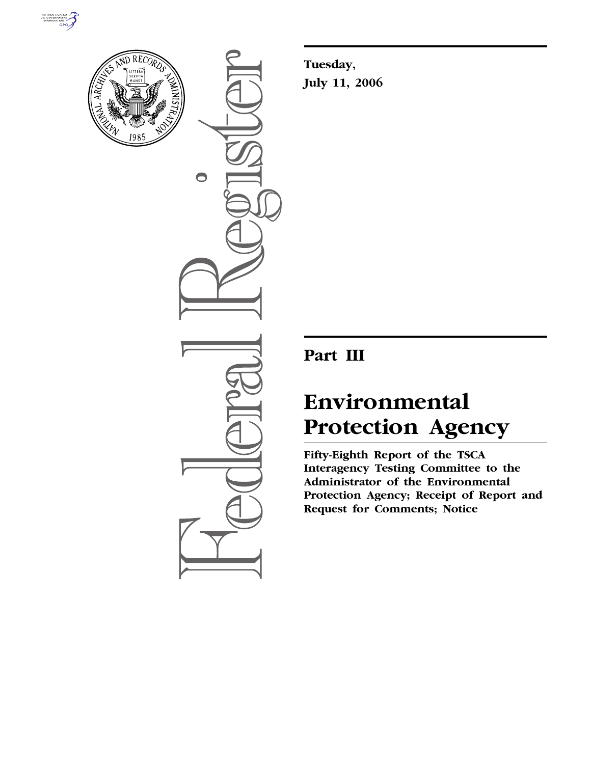



 $\bigcirc$ 

**Tuesday, July 11, 2006** 

# **Part III**

# **Environmental Protection Agency**

**Fifty-Eighth Report of the TSCA Interagency Testing Committee to the Administrator of the Environmental Protection Agency; Receipt of Report and Request for Comments; Notice**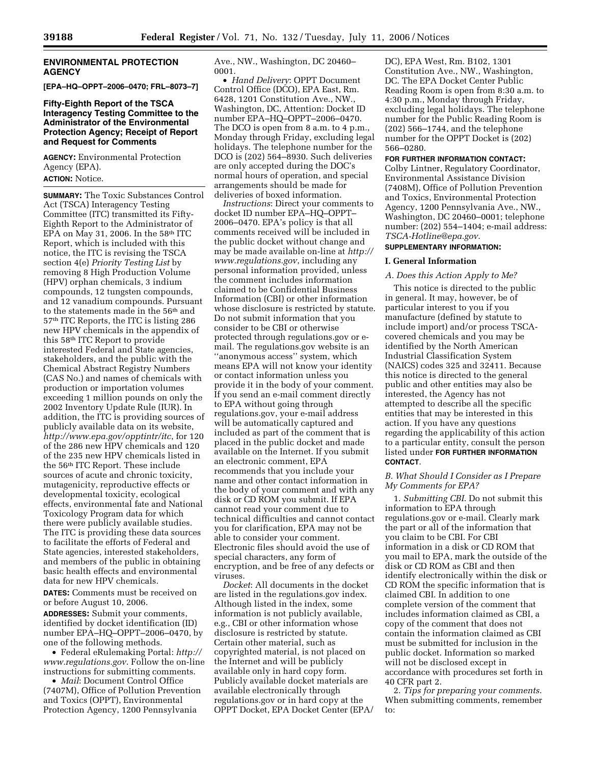#### **ENVIRONMENTAL PROTECTION AGENCY**

**[EPA–HQ–OPPT–2006–0470; FRL–8073–7]** 

#### **Fifty-Eighth Report of the TSCA Interagency Testing Committee to the Administrator of the Environmental Protection Agency; Receipt of Report and Request for Comments**

**AGENCY:** Environmental Protection Agency (EPA).

**ACTION:** Notice.

**SUMMARY:** The Toxic Substances Control Act (TSCA) Interagency Testing Committee (ITC) transmitted its Fifty-Eighth Report to the Administrator of EPA on May 31, 2006. In the  $58<sup>th</sup>$  ITC Report, which is included with this notice, the ITC is revising the TSCA section 4(e) *Priority Testing List* by removing 8 High Production Volume (HPV) orphan chemicals, 3 indium compounds, 12 tungsten compounds, and 12 vanadium compounds. Pursuant to the statements made in the 56<sup>th</sup> and 57th ITC Reports, the ITC is listing 286 new HPV chemicals in the appendix of this 58th ITC Report to provide interested Federal and State agencies, stakeholders, and the public with the Chemical Abstract Registry Numbers (CAS No.) and names of chemicals with production or importation volumes exceeding 1 million pounds on only the 2002 Inventory Update Rule (IUR). In addition, the ITC is providing sources of publicly available data on its website, *http://www.epa.gov/opptintr/itc*, for 120 of the 286 new HPV chemicals and 120 of the 235 new HPV chemicals listed in the 56th ITC Report. These include sources of acute and chronic toxicity, mutagenicity, reproductive effects or developmental toxicity, ecological effects, environmental fate and National Toxicology Program data for which there were publicly available studies. The ITC is providing these data sources to facilitate the efforts of Federal and State agencies, interested stakeholders, and members of the public in obtaining basic health effects and environmental data for new HPV chemicals.

**DATES:** Comments must be received on or before August 10, 2006.

**ADDRESSES:** Submit your comments, identified by docket identification (ID) number EPA–HQ–OPPT–2006–0470, by one of the following methods.

• Federal eRulemaking Portal: *http:// www.regulations.gov*. Follow the on-line instructions for submitting comments.

• *Mail*: Document Control Office (7407M), Office of Pollution Prevention and Toxics (OPPT), Environmental Protection Agency, 1200 Pennsylvania

Ave., NW., Washington, DC 20460– 0001.

• *Hand Delivery*: OPPT Document Control Office (DCO), EPA East, Rm. 6428, 1201 Constitution Ave., NW., Washington, DC, Attention: Docket ID number EPA–HQ–OPPT–2006–0470. The DCO is open from 8 a.m. to 4 p.m., Monday through Friday, excluding legal holidays. The telephone number for the DCO is (202) 564–8930. Such deliveries are only accepted during the DOC's normal hours of operation, and special arrangements should be made for deliveries of boxed information.

*Instructions*: Direct your comments to docket ID number EPA–HQ–OPPT– 2006–0470. EPA's policy is that all comments received will be included in the public docket without change and may be made available on-line at *http:// www.regulations.gov*, including any personal information provided, unless the comment includes information claimed to be Confidential Business Information (CBI) or other information whose disclosure is restricted by statute. Do not submit information that you consider to be CBI or otherwise protected through regulations.gov or email. The regulations.gov website is an ''anonymous access'' system, which means EPA will not know your identity or contact information unless you provide it in the body of your comment. If you send an e-mail comment directly to EPA without going through regulations.gov, your e-mail address will be automatically captured and included as part of the comment that is placed in the public docket and made available on the Internet. If you submit an electronic comment, EPA recommends that you include your name and other contact information in the body of your comment and with any disk or CD ROM you submit. If EPA cannot read your comment due to technical difficulties and cannot contact you for clarification, EPA may not be able to consider your comment. Electronic files should avoid the use of special characters, any form of encryption, and be free of any defects or viruses.

*Docket*: All documents in the docket are listed in the regulations.gov index. Although listed in the index, some information is not publicly available, e.g., CBI or other information whose disclosure is restricted by statute. Certain other material, such as copyrighted material, is not placed on the Internet and will be publicly available only in hard copy form. Publicly available docket materials are available electronically through regulations.gov or in hard copy at the OPPT Docket, EPA Docket Center (EPA/ DC), EPA West, Rm. B102, 1301 Constitution Ave., NW., Washington, DC. The EPA Docket Center Public Reading Room is open from 8:30 a.m. to 4:30 p.m., Monday through Friday, excluding legal holidays. The telephone number for the Public Reading Room is (202) 566–1744, and the telephone number for the OPPT Docket is (202) 566–0280.

#### **FOR FURTHER INFORMATION CONTACT:**

Colby Lintner, Regulatory Coordinator, Environmental Assistance Division (7408M), Office of Pollution Prevention and Toxics, Environmental Protection Agency, 1200 Pennsylvania Ave., NW., Washington, DC 20460–0001; telephone number: (202) 554–1404; e-mail address: *TSCA-Hotline@epa.gov*.

#### **SUPPLEMENTARY INFORMATION:**

#### **I. General Information**

#### *A. Does this Action Apply to Me?*

This notice is directed to the public in general. It may, however, be of particular interest to you if you manufacture (defined by statute to include import) and/or process TSCAcovered chemicals and you may be identified by the North American Industrial Classification System (NAICS) codes 325 and 32411. Because this notice is directed to the general public and other entities may also be interested, the Agency has not attempted to describe all the specific entities that may be interested in this action. If you have any questions regarding the applicability of this action to a particular entity, consult the person listed under **FOR FURTHER INFORMATION CONTACT**.

#### *B. What Should I Consider as I Prepare My Comments for EPA?*

1. *Submitting CBI*. Do not submit this information to EPA through regulations.gov or e-mail. Clearly mark the part or all of the information that you claim to be CBI. For CBI information in a disk or CD ROM that you mail to EPA, mark the outside of the disk or CD ROM as CBI and then identify electronically within the disk or CD ROM the specific information that is claimed CBI. In addition to one complete version of the comment that includes information claimed as CBI, a copy of the comment that does not contain the information claimed as CBI must be submitted for inclusion in the public docket. Information so marked will not be disclosed except in accordance with procedures set forth in 40 CFR part 2.

2. *Tips for preparing your comments*. When submitting comments, remember to: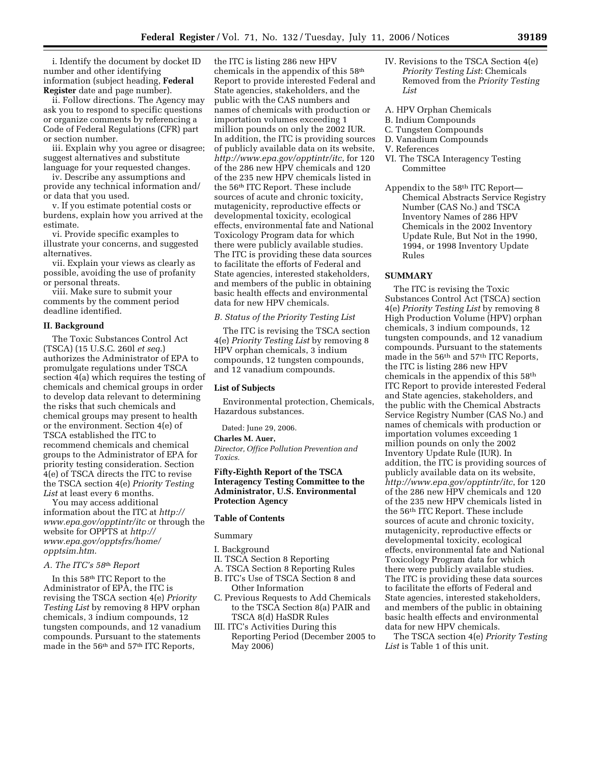i. Identify the document by docket ID number and other identifying information (subject heading, **Federal Register** date and page number).

ii. Follow directions. The Agency may ask you to respond to specific questions or organize comments by referencing a Code of Federal Regulations (CFR) part or section number.

iii. Explain why you agree or disagree; suggest alternatives and substitute language for your requested changes.

iv. Describe any assumptions and provide any technical information and/ or data that you used.

v. If you estimate potential costs or burdens, explain how you arrived at the estimate.

vi. Provide specific examples to illustrate your concerns, and suggested alternatives.

vii. Explain your views as clearly as possible, avoiding the use of profanity or personal threats.

viii. Make sure to submit your comments by the comment period deadline identified.

#### **II. Background**

The Toxic Substances Control Act (TSCA) (15 U.S.C. 260l *et seq*.) authorizes the Administrator of EPA to promulgate regulations under TSCA section 4(a) which requires the testing of chemicals and chemical groups in order to develop data relevant to determining the risks that such chemicals and chemical groups may present to health or the environment. Section 4(e) of TSCA established the ITC to recommend chemicals and chemical groups to the Administrator of EPA for priority testing consideration. Section 4(e) of TSCA directs the ITC to revise the TSCA section 4(e) *Priority Testing*  List at least every 6 months.

You may access additional information about the ITC at *http:// www.epa.gov/opptintr/itc* or through the website for OPPTS at *http:// www.epa.gov/opptsfrs/home/ opptsim.htm*.

#### *A. The ITC's 58*th *Report*

In this 58th ITC Report to the Administrator of EPA, the ITC is revising the TSCA section 4(e) *Priority Testing List* by removing 8 HPV orphan chemicals, 3 indium compounds, 12 tungsten compounds, and 12 vanadium compounds. Pursuant to the statements made in the 56<sup>th</sup> and 57<sup>th</sup> ITC Reports,

the ITC is listing 286 new HPV chemicals in the appendix of this 58th Report to provide interested Federal and State agencies, stakeholders, and the public with the CAS numbers and names of chemicals with production or importation volumes exceeding 1 million pounds on only the 2002 IUR. In addition, the ITC is providing sources of publicly available data on its website, *http://www.epa.gov/opptintr/itc*, for 120 of the 286 new HPV chemicals and 120 of the 235 new HPV chemicals listed in the 56th ITC Report. These include sources of acute and chronic toxicity, mutagenicity, reproductive effects or developmental toxicity, ecological effects, environmental fate and National Toxicology Program data for which there were publicly available studies. The ITC is providing these data sources to facilitate the efforts of Federal and State agencies, interested stakeholders, and members of the public in obtaining basic health effects and environmental data for new HPV chemicals.

*B. Status of the Priority Testing List* 

The ITC is revising the TSCA section 4(e) *Priority Testing List* by removing 8 HPV orphan chemicals, 3 indium compounds, 12 tungsten compounds, and 12 vanadium compounds.

#### **List of Subjects**

Environmental protection, Chemicals, Hazardous substances.

Dated: June 29, 2006.

#### **Charles M. Auer,**

*Director, Office Pollution Prevention and Toxics.* 

#### **Fifty-Eighth Report of the TSCA Interagency Testing Committee to the Administrator, U.S. Environmental Protection Agency**

#### **Table of Contents**

#### Summary

I. Background

- II. TSCA Section 8 Reporting
- A. TSCA Section 8 Reporting Rules B. ITC's Use of TSCA Section 8 and
- Other Information
- C. Previous Requests to Add Chemicals to the TSCA Section 8(a) PAIR and TSCA 8(d) HaSDR Rules
- III. ITC's Activities During this Reporting Period (December 2005 to May 2006)
- IV. Revisions to the TSCA Section 4(e) *Priority Testing List*: Chemicals Removed from the *Priority Testing List*
- A. HPV Orphan Chemicals
- B. Indium Compounds
- C. Tungsten Compounds
- D. Vanadium Compounds
- V. References
- VI. The TSCA Interagency Testing Committee
- Appendix to the 58th ITC Report— Chemical Abstracts Service Registry Number (CAS No.) and TSCA Inventory Names of 286 HPV Chemicals in the 2002 Inventory Update Rule, But Not in the 1990, 1994, or 1998 Inventory Update Rules

#### **SUMMARY**

The ITC is revising the Toxic Substances Control Act (TSCA) section 4(e) *Priority Testing List* by removing 8 High Production Volume (HPV) orphan chemicals, 3 indium compounds, 12 tungsten compounds, and 12 vanadium compounds. Pursuant to the statements made in the 56<sup>th</sup> and 57<sup>th</sup> ITC Reports, the ITC is listing 286 new HPV chemicals in the appendix of this 58th ITC Report to provide interested Federal and State agencies, stakeholders, and the public with the Chemical Abstracts Service Registry Number (CAS No.) and names of chemicals with production or importation volumes exceeding 1 million pounds on only the 2002 Inventory Update Rule (IUR). In addition, the ITC is providing sources of publicly available data on its website, *http://www.epa.gov/opptintr/itc*, for 120 of the 286 new HPV chemicals and 120 of the 235 new HPV chemicals listed in the 56th ITC Report. These include sources of acute and chronic toxicity, mutagenicity, reproductive effects or developmental toxicity, ecological effects, environmental fate and National Toxicology Program data for which there were publicly available studies. The ITC is providing these data sources to facilitate the efforts of Federal and State agencies, interested stakeholders, and members of the public in obtaining basic health effects and environmental data for new HPV chemicals.

The TSCA section 4(e) *Priority Testing List* is Table 1 of this unit.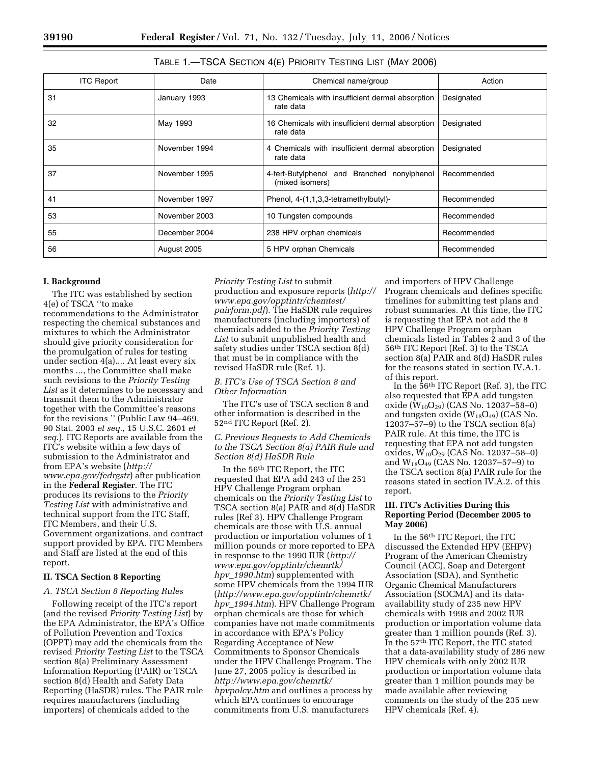| <b>ITC Report</b> | Date          | Chemical name/group                                            | Action      |
|-------------------|---------------|----------------------------------------------------------------|-------------|
| 31                | January 1993  | 13 Chemicals with insufficient dermal absorption<br>rate data  | Designated  |
| 32                | May 1993      | 16 Chemicals with insufficient dermal absorption<br>rate data  | Designated  |
| 35                | November 1994 | 4 Chemicals with insufficient dermal absorption<br>rate data   | Designated  |
| 37                | November 1995 | 4-tert-Butylphenol and Branched nonylphenol<br>(mixed isomers) | Recommended |
| 41                | November 1997 | Phenol, 4-(1,1,3,3-tetramethylbutyl)-                          | Recommended |
| 53                | November 2003 | 10 Tungsten compounds                                          | Recommended |
| 55                | December 2004 | 238 HPV orphan chemicals                                       | Recommended |
| 56                | August 2005   | 5 HPV orphan Chemicals                                         | Recommended |

#### TABLE 1.—TSCA SECTION 4(E) PRIORITY TESTING LIST (MAY 2006)

#### **I. Background**

The ITC was established by section 4(e) of TSCA ''to make recommendations to the Administrator respecting the chemical substances and mixtures to which the Administrator should give priority consideration for the promulgation of rules for testing under section 4(a).... At least every six months ..., the Committee shall make such revisions to the *Priority Testing List* as it determines to be necessary and transmit them to the Administrator together with the Committee's reasons for the revisions '' (Public Law 94–469, 90 Stat. 2003 *et seq*., 15 U.S.C. 2601 *et seq*.). ITC Reports are available from the ITC's website within a few days of submission to the Administrator and from EPA's website (*http:// www.epa.gov/fedrgstr*) after publication in the **Federal Register**. The ITC produces its revisions to the *Priority Testing List* with administrative and technical support from the ITC Staff, ITC Members, and their U.S. Government organizations, and contract support provided by EPA. ITC Members and Staff are listed at the end of this report.

#### **II. TSCA Section 8 Reporting**

#### *A. TSCA Section 8 Reporting Rules*

Following receipt of the ITC's report (and the revised *Priority Testing List*) by the EPA Administrator, the EPA's Office of Pollution Prevention and Toxics (OPPT) may add the chemicals from the revised *Priority Testing List* to the TSCA section 8(a) Preliminary Assessment Information Reporting (PAIR) or TSCA section 8(d) Health and Safety Data Reporting (HaSDR) rules. The PAIR rule requires manufacturers (including importers) of chemicals added to the

*Priority Testing List* to submit production and exposure reports (*http:// www.epa.gov/opptintr/chemtest/ pairform.pdf*). The HaSDR rule requires manufacturers (including importers) of chemicals added to the *Priority Testing List* to submit unpublished health and safety studies under TSCA section 8(d) that must be in compliance with the revised HaSDR rule (Ref. 1).

#### *B. ITC's Use of TSCA Section 8 and Other Information*

The ITC's use of TSCA section 8 and other information is described in the 52nd ITC Report (Ref. 2).

#### *C. Previous Requests to Add Chemicals to the TSCA Section 8(a) PAIR Rule and Section 8(d) HaSDR Rule*

In the 56th ITC Report, the ITC requested that EPA add 243 of the 251 HPV Challenge Program orphan chemicals on the *Priority Testing List* to TSCA section 8(a) PAIR and 8(d) HaSDR rules (Ref 3). HPV Challenge Program chemicals are those with U.S. annual production or importation volumes of 1 million pounds or more reported to EPA in response to the 1990 IUR (*http:// www.epa.gov/opptintr/chemrtk/ hpv*\_*1990.htm*) supplemented with some HPV chemicals from the 1994 IUR (*http://www.epa.gov/opptintr/chemrtk/ hpv*\_*1994.htm*). HPV Challenge Program orphan chemicals are those for which companies have not made commitments in accordance with EPA's Policy Regarding Acceptance of New Commitments to Sponsor Chemicals under the HPV Challenge Program. The June 27, 2005 policy is described in *http://www.epa.gov/chemrtk/ hpvpolcy.htm* and outlines a process by which EPA continues to encourage commitments from U.S. manufacturers

and importers of HPV Challenge Program chemicals and defines specific timelines for submitting test plans and robust summaries. At this time, the ITC is requesting that EPA not add the 8 HPV Challenge Program orphan chemicals listed in Tables 2 and 3 of the 56th ITC Report (Ref. 3) to the TSCA section 8(a) PAIR and 8(d) HaSDR rules for the reasons stated in section IV.A.1. of this report.

In the 56th ITC Report (Ref. 3), the ITC also requested that EPA add tungsten oxide  $(W_{10}O_{29})$  (CAS No. 12037–58–0) and tungsten oxide  $(W_{18}O_{49})$  (CAS No. 12037–57–9) to the TSCA section 8(a) PAIR rule. At this time, the ITC is requesting that EPA not add tungsten oxides, W10O29 (CAS No. 12037–58–0) and W18O49 (CAS No. 12037–57–9) to the TSCA section 8(a) PAIR rule for the reasons stated in section IV.A.2. of this report.

#### **III. ITC's Activities During this Reporting Period (December 2005 to May 2006)**

In the 56th ITC Report, the ITC discussed the Extended HPV (EHPV) Program of the American Chemistry Council (ACC), Soap and Detergent Association (SDA), and Synthetic Organic Chemical Manufacturers Association (SOCMA) and its dataavailability study of 235 new HPV chemicals with 1998 and 2002 IUR production or importation volume data greater than 1 million pounds (Ref. 3). In the 57th ITC Report, the ITC stated that a data-availability study of 286 new HPV chemicals with only 2002 IUR production or importation volume data greater than 1 million pounds may be made available after reviewing comments on the study of the 235 new HPV chemicals (Ref. 4).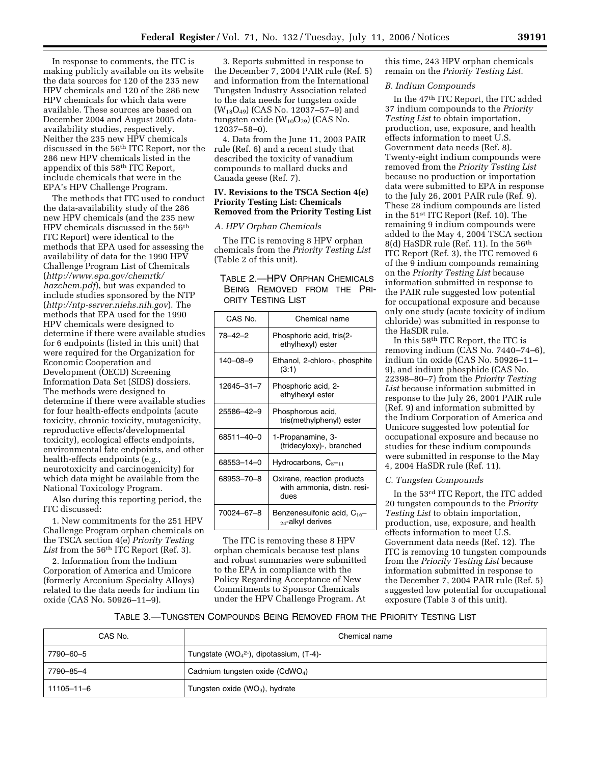In response to comments, the ITC is making publicly available on its website the data sources for 120 of the 235 new HPV chemicals and 120 of the 286 new HPV chemicals for which data were available. These sources are based on December 2004 and August 2005 dataavailability studies, respectively. Neither the 235 new HPV chemicals discussed in the 56th ITC Report, nor the 286 new HPV chemicals listed in the appendix of this 58th ITC Report, include chemicals that were in the EPA's HPV Challenge Program.

The methods that ITC used to conduct the data-availability study of the 286 new HPV chemicals (and the 235 new HPV chemicals discussed in the 56th ITC Report) were identical to the methods that EPA used for assessing the availability of data for the 1990 HPV Challenge Program List of Chemicals (*http://www.epa.gov/chemrtk/ hazchem.pdf*), but was expanded to include studies sponsored by the NTP (*http://ntp-server.niehs.nih.gov*). The methods that EPA used for the 1990 HPV chemicals were designed to determine if there were available studies for 6 endpoints (listed in this unit) that were required for the Organization for Economic Cooperation and Development (OECD) Screening Information Data Set (SIDS) dossiers. The methods were designed to determine if there were available studies for four health-effects endpoints (acute toxicity, chronic toxicity, mutagenicity, reproductive effects/developmental toxicity), ecological effects endpoints, environmental fate endpoints, and other health-effects endpoints (e.g., neurotoxicity and carcinogenicity) for which data might be available from the National Toxicology Program.

Also during this reporting period, the ITC discussed:

1. New commitments for the 251 HPV Challenge Program orphan chemicals on the TSCA section 4(e) *Priority Testing*  List from the 56<sup>th</sup> ITC Report (Ref. 3).

2. Information from the Indium Corporation of America and Umicore (formerly Arconium Specialty Alloys) related to the data needs for indium tin oxide (CAS No. 50926–11–9).

3. Reports submitted in response to the December 7, 2004 PAIR rule (Ref. 5) and information from the International Tungsten Industry Association related to the data needs for tungsten oxide (W18O49) (CAS No. 12037–57–9) and tungsten oxide (W10O29) (CAS No. 12037–58–0).

4. Data from the June 11, 2003 PAIR rule (Ref. 6) and a recent study that described the toxicity of vanadium compounds to mallard ducks and Canada geese (Ref. 7).

#### **IV. Revisions to the TSCA Section 4(e) Priority Testing List: Chemicals Removed from the Priority Testing List**

#### *A. HPV Orphan Chemicals*

The ITC is removing 8 HPV orphan chemicals from the *Priority Testing List*  (Table 2 of this unit).

#### TABLE 2.—HPV ORPHAN CHEMICALS BEING REMOVED FROM THE PRI-ORITY TESTING LIST

| CAS No.        | Chemical name                                                     |
|----------------|-------------------------------------------------------------------|
| 78–42–2        | Phosphoric acid, tris(2-<br>ethylhexyl) ester                     |
| $140 - 08 - 9$ | Ethanol, 2-chloro-, phosphite<br>(3:1)                            |
| 12645-31-7     | Phosphoric acid, 2-<br>ethylhexyl ester                           |
| 25586-42-9     | Phosphorous acid,<br>tris(methylphenyl) ester                     |
| 68511-40-0     | 1-Propanamine, 3-<br>(tridecyloxy)-, branched                     |
| 68553-14-0     | Hydrocarbons, $C_{8-11}$                                          |
| 68953-70-8     | Oxirane, reaction products<br>with ammonia, distn. resi-<br>dues  |
| 70024-67-8     | Benzenesulfonic acid, C <sub>16</sub> -<br>$_{24}$ -alkyl derives |

The ITC is removing these 8 HPV orphan chemicals because test plans and robust summaries were submitted to the EPA in compliance with the Policy Regarding Acceptance of New Commitments to Sponsor Chemicals under the HPV Challenge Program. At

this time, 243 HPV orphan chemicals remain on the *Priority Testing List*.

#### *B. Indium Compounds*

In the 47th ITC Report, the ITC added 37 indium compounds to the *Priority Testing List* to obtain importation, production, use, exposure, and health effects information to meet U.S. Government data needs (Ref. 8). Twenty-eight indium compounds were removed from the *Priority Testing List*  because no production or importation data were submitted to EPA in response to the July 26, 2001 PAIR rule (Ref. 9). These 28 indium compounds are listed in the 51st ITC Report (Ref. 10). The remaining 9 indium compounds were added to the May 4, 2004 TSCA section 8(d) HaSDR rule (Ref. 11). In the 56<sup>th</sup> ITC Report (Ref. 3), the ITC removed 6 of the 9 indium compounds remaining on the *Priority Testing List* because information submitted in response to the PAIR rule suggested low potential for occupational exposure and because only one study (acute toxicity of indium chloride) was submitted in response to the HaSDR rule.

In this 58th ITC Report, the ITC is removing indium (CAS No. 7440–74–6), indium tin oxide (CAS No. 50926–11– 9), and indium phosphide (CAS No. 22398–80–7) from the *Priority Testing List* because information submitted in response to the July 26, 2001 PAIR rule (Ref. 9) and information submitted by the Indium Corporation of America and Umicore suggested low potential for occupational exposure and because no studies for these indium compounds were submitted in response to the May 4, 2004 HaSDR rule (Ref. 11).

#### *C. Tungsten Compounds*

In the 53rd ITC Report, the ITC added 20 tungsten compounds to the *Priority Testing List* to obtain importation, production, use, exposure, and health effects information to meet U.S. Government data needs (Ref. 12). The ITC is removing 10 tungsten compounds from the *Priority Testing List* because information submitted in response to the December 7, 2004 PAIR rule (Ref. 5) suggested low potential for occupational exposure (Table 3 of this unit).

#### TABLE 3.—TUNGSTEN COMPOUNDS BEING REMOVED FROM THE PRIORITY TESTING LIST

| CAS No.    | Chemical name                               |
|------------|---------------------------------------------|
| 7790-60-5  | Tungstate ( $WO42$ ), dipotassium, (T-4)-   |
| 7790-85-4  | Cadmium tungsten oxide (CdWO <sub>4</sub> ) |
| 11105-11-6 | Tungsten oxide ( $WO3$ ), hydrate           |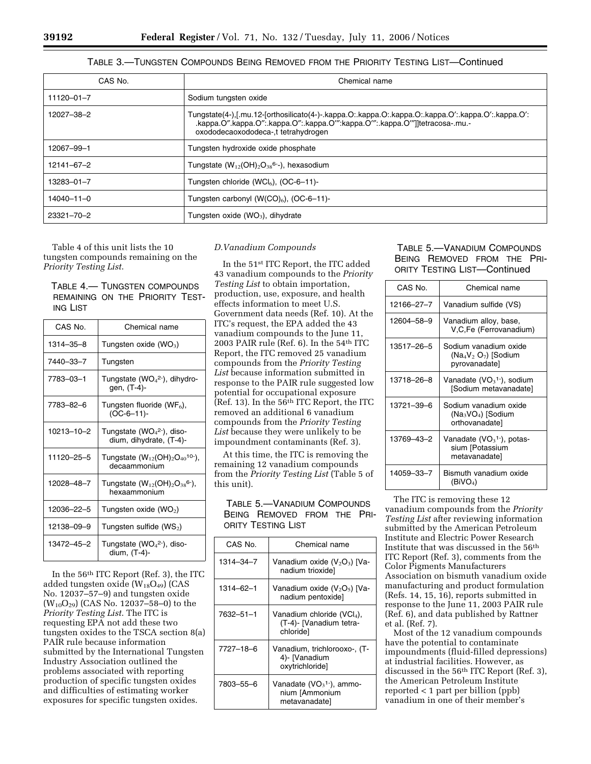#### TABLE 3.—TUNGSTEN COMPOUNDS BEING REMOVED FROM THE PRIORITY TESTING LIST—Continued

| CAS No.          | Chemical name                                                                                                                                                                                                              |
|------------------|----------------------------------------------------------------------------------------------------------------------------------------------------------------------------------------------------------------------------|
| $11120 - 01 - 7$ | Sodium tungsten oxide                                                                                                                                                                                                      |
| 12027-38-2       | Tungstate(4-),[.mu.12-[orthosilicato(4-)-.kappa.O:.kappa.O:.kappa.O:.kappa.O':.kappa.O':.kappa.O':<br>.kappa.O".kappa.O":.kappa.O":.kappa.O"":kappa.O"":.kappa.O""]]tetracosa-.mu.-<br>oxododecaoxododeca-,t tetrahydrogen |
| 12067–99–1       | Tungsten hydroxide oxide phosphate                                                                                                                                                                                         |
| 12141-67-2       | Tungstate $(W_{12}(OH)_2O_{38}^6)$ , hexasodium                                                                                                                                                                            |
| $13283 - 01 - 7$ | Tungsten chloride (WCl <sub>6</sub> ), $(OC-6-11)$ -                                                                                                                                                                       |
| 14040-11-0       | Tungsten carbonyl ( $W(CO)_{6}$ ), (OC-6-11)-                                                                                                                                                                              |
| $23321 - 70 - 2$ | Tungsten oxide $(WO_3)$ , dihydrate                                                                                                                                                                                        |

Table 4 of this unit lists the 10 tungsten compounds remaining on the *Priority Testing List*.

TABLE 4.— TUNGSTEN COMPOUNDS REMAINING ON THE PRIORITY TEST-ING LIST

| CAS No.         | Chemical name                                                       |
|-----------------|---------------------------------------------------------------------|
| $1314 - 35 - 8$ | Tungsten oxide $(WO_3)$                                             |
| 7440-33-7       | Tungsten                                                            |
| 7783-03-1       | Tungstate (WO <sub>4</sub> <sup>2-</sup> ), dihydro-<br>gen, (T-4)- |
| 7783-82-6       | Tungsten fluoride (WF <sub>6</sub> ),<br>$(OC-6-11)$ -              |
| 10213-10-2      | Tungstate ( $WO42$ ), diso-<br>dium, dihydrate, (T-4)-              |
| 11120-25-5      | Tungstate $(W_{12}(OH)_2O_{40}^{10})$ ,<br>decaammonium             |
| 12028-48-7      | Tungstate $(W_{12}(OH)_2O_{38}^{6-})$ ,<br>hexaammonium             |
| 12036-22-5      | Tungsten oxide $(WO2)$                                              |
| 12138-09-9      | Tungsten sulfide ( $WS2$ )                                          |
| 13472-45-2      | Tungstate ( $WO42$ ), diso-<br>dium, (T-4)-                         |

In the 56th ITC Report (Ref. 3), the ITC added tungsten oxide  $(W_{18}O_{49})$  (CAS No. 12037–57–9) and tungsten oxide  $(W_{10}O_{29})$  (CAS No. 12037–58–0) to the *Priority Testing List*. The ITC is requesting EPA not add these two tungsten oxides to the TSCA section 8(a) PAIR rule because information submitted by the International Tungsten Industry Association outlined the problems associated with reporting production of specific tungsten oxides and difficulties of estimating worker exposures for specific tungsten oxides.

#### *D.Vanadium Compounds*

In the 51st ITC Report, the ITC added 43 vanadium compounds to the *Priority Testing List* to obtain importation, production, use, exposure, and health effects information to meet U.S. Government data needs (Ref. 10). At the ITC's request, the EPA added the 43 vanadium compounds to the June 11, 2003 PAIR rule (Ref. 6). In the 54th ITC Report, the ITC removed 25 vanadium compounds from the *Priority Testing List* because information submitted in response to the PAIR rule suggested low potential for occupational exposure (Ref. 13). In the 56th ITC Report, the ITC removed an additional 6 vanadium compounds from the *Priority Testing List* because they were unlikely to be impoundment contaminants (Ref. 3).

At this time, the ITC is removing the remaining 12 vanadium compounds from the *Priority Testing List* (Table 5 of this unit).

TABLE 5.—VANADIUM COMPOUNDS BEING REMOVED FROM THE PRI-ORITY TESTING LIST

| CAS No.   | Chemical name                                                                  |
|-----------|--------------------------------------------------------------------------------|
| 1314-34-7 | Vanadium oxide $(V_2O_3)$ [Va-<br>nadium trioxide]                             |
| 1314-62-1 | Vanadium oxide $(V_2O_5)$ [Va-<br>nadium pentoxide]                            |
| 7632-51-1 | Vanadium chloride (VCl <sub>4</sub> ),<br>(T-4)- [Vanadium tetra-<br>chloridel |
| 7727-18-6 | Vanadium, trichlorooxo-, (T-<br>4)- [Vanadium<br>oxytrichloridel               |
| 7803-55-6 | Vanadate (VO $_3$ <sup>1-</sup> ), ammo-<br>nium [Ammonium<br>metavanadate]    |

### TABLE 5.—VANADIUM COMPOUNDS BEING REMOVED FROM THE PRI-ORITY TESTING LIST—Continued

| CAS No.    | Chemical name                                                              |
|------------|----------------------------------------------------------------------------|
| 12166-27-7 | Vanadium sulfide (VS)                                                      |
| 12604-58-9 | Vanadium alloy, base,<br>V.C.Fe (Ferrovanadium)                            |
| 13517-26-5 | Sodium vanadium oxide<br>$(Na_4V_2 O_7)$ [Sodium<br>pyrovanadate]          |
| 13718-26-8 | Vanadate (VO <sub>3</sub> <sup>1-</sup> ), sodium<br>[Sodium metavanadate] |
| 13721-39-6 | Sodium vanadium oxide<br>$(Na_3VO_4)$ [Sodium<br>orthovanadatel            |
| 13769-43-2 | Vanadate $(VO31-)$ , potas-<br>sium [Potassium<br>metavanadate]            |
| 14059-33-7 | Bismuth vanadium oxide<br>(BiVO <sub>4</sub> )                             |

The ITC is removing these 12 vanadium compounds from the *Priority Testing List* after reviewing information submitted by the American Petroleum Institute and Electric Power Research Institute that was discussed in the 56th ITC Report (Ref. 3), comments from the Color Pigments Manufacturers Association on bismuth vanadium oxide manufacturing and product formulation (Refs. 14, 15, 16), reports submitted in response to the June 11, 2003 PAIR rule (Ref. 6), and data published by Rattner et al. (Ref. 7).

Most of the 12 vanadium compounds have the potential to contaminate impoundments (fluid-filled depressions) at industrial facilities. However, as discussed in the 56th ITC Report (Ref. 3), the American Petroleum Institute reported < 1 part per billion (ppb) vanadium in one of their member's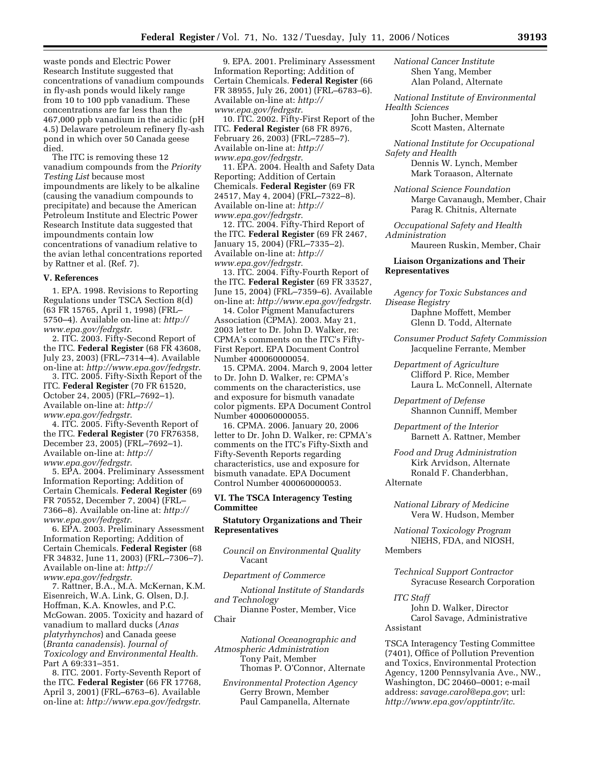waste ponds and Electric Power Research Institute suggested that concentrations of vanadium compounds in fly-ash ponds would likely range from 10 to 100 ppb vanadium. These concentrations are far less than the 467,000 ppb vanadium in the acidic (pH 4.5) Delaware petroleum refinery fly-ash pond in which over 50 Canada geese died.

The ITC is removing these 12 vanadium compounds from the *Priority Testing List* because most impoundments are likely to be alkaline (causing the vanadium compounds to precipitate) and because the American Petroleum Institute and Electric Power Research Institute data suggested that impoundments contain low concentrations of vanadium relative to the avian lethal concentrations reported by Rattner et al. (Ref. 7).

#### **V. References**

1. EPA. 1998. Revisions to Reporting Regulations under TSCA Section 8(d) (63 FR 15765, April 1, 1998) (FRL– 5750–4). Available on-line at: *http:// www.epa.gov/fedrgstr*.

2. ITC. 2003. Fifty-Second Report of the ITC. **Federal Register** (68 FR 43608, July 23, 2003) (FRL–7314–4). Available on-line at: *http://www.epa.gov/fedrgstr*.

3. ITC. 2005. Fifty-Sixth Report of the ITC. **Federal Register** (70 FR 61520, October 24, 2005) (FRL–7692–1). Available on-line at: *http:// www.epa.gov/fedrgstr*.

4. ITC. 2005. Fifty-Seventh Report of the ITC. **Federal Register** (70 FR76358, December 23, 2005) (FRL–7692–1). Available on-line at: *http:// www.epa.gov/fedrgstr*.

5. EPA. 2004. Preliminary Assessment Information Reporting; Addition of Certain Chemicals. **Federal Register** (69 FR 70552, December 7, 2004) (FRL– 7366–8). Available on-line at: *http:// www.epa.gov/fedrgstr*.

6. EPA. 2003. Preliminary Assessment Information Reporting; Addition of Certain Chemicals. **Federal Register** (68 FR 34832, June 11, 2003) (FRL–7306–7). Available on-line at: *http:// www.epa.gov/fedrgstr*.

7. Rattner, B.A., M.A. McKernan, K.M. Eisenreich, W.A. Link, G. Olsen, D.J. Hoffman, K.A. Knowles, and P.C. McGowan. 2005. Toxicity and hazard of vanadium to mallard ducks (*Anas platyrhynchos*) and Canada geese (*Branta canadensis*). *Journal of Toxicology and Environmental Health*. Part A 69:331–351.

8. ITC. 2001. Forty-Seventh Report of the ITC. **Federal Register** (66 FR 17768, April 3, 2001) (FRL–6763–6). Available on-line at: *http://www.epa.gov/fedrgstr*.

9. EPA. 2001. Preliminary Assessment Information Reporting; Addition of Certain Chemicals. **Federal Register** (66 FR 38955, July 26, 2001) (FRL–6783–6). Available on-line at: *http:// www.epa.gov/fedrgstr*.

10. ITC. 2002. Fifty-First Report of the ITC. **Federal Register** (68 FR 8976, February 26, 2003) (FRL–7285–7). Available on-line at: *http:// www.epa.gov/fedrgstr*.

11. EPA. 2004. Health and Safety Data Reporting; Addition of Certain Chemicals. **Federal Register** (69 FR 24517, May 4, 2004) (FRL–7322–8). Available on-line at: *http:// www.epa.gov/fedrgstr*.

12. ITC. 2004. Fifty-Third Report of the ITC. **Federal Register** (69 FR 2467, January 15, 2004) (FRL–7335–2). Available on-line at: *http:// www.epa.gov/fedrgstr*.

13. ITC. 2004. Fifty-Fourth Report of the ITC. **Federal Register** (69 FR 33527, June 15, 2004) (FRL–7359–6). Available on-line at: *http://www.epa.gov/fedrgstr*.

14. Color Pigment Manufacturers Association (CPMA). 2003. May 21, 2003 letter to Dr. John D. Walker, re: CPMA's comments on the ITC's Fifty-First Report. EPA Document Control Number 400060000054.

15. CPMA. 2004. March 9, 2004 letter to Dr. John D. Walker, re: CPMA's comments on the characteristics, use and exposure for bismuth vanadate color pigments. EPA Document Control Number 400060000055.

16. CPMA. 2006. January 20, 2006 letter to Dr. John D. Walker, re: CPMA's comments on the ITC's Fifty-Sixth and Fifty-Seventh Reports regarding characteristics, use and exposure for bismuth vanadate. EPA Document Control Number 400060000053.

#### **VI. The TSCA Interagency Testing Committee**

#### **Statutory Organizations and Their Representatives**

*Council on Environmental Quality*  Vacant

*Department of Commerce* 

*National Institute of Standards and Technology* 

Dianne Poster, Member, Vice Chair

*National Oceanographic and Atmospheric Administration*  Tony Pait, Member Thomas P. O'Connor, Alternate

*Environmental Protection Agency*  Gerry Brown, Member Paul Campanella, Alternate

*National Cancer Institute*  Shen Yang, Member Alan Poland, Alternate

*National Institute of Environmental Health Sciences* 

> John Bucher, Member Scott Masten, Alternate

*National Institute for Occupational Safety and Health* 

> Dennis W. Lynch, Member Mark Toraason, Alternate

*National Science Foundation*  Marge Cavanaugh, Member, Chair Parag R. Chitnis, Alternate

*Occupational Safety and Health Administration* 

Maureen Ruskin, Member, Chair

#### **Liaison Organizations and Their Representatives**

*Agency for Toxic Substances and Disease Registry* 

Daphne Moffett, Member Glenn D. Todd, Alternate

*Consumer Product Safety Commission*  Jacqueline Ferrante, Member

*Department of Agriculture*  Clifford P. Rice, Member Laura L. McConnell, Alternate

*Department of Defense*  Shannon Cunniff, Member

*Department of the Interior*  Barnett A. Rattner, Member

*Food and Drug Administration*  Kirk Arvidson, Alternate Ronald F. Chanderbhan, Alternate

*National Library of Medicine*  Vera W. Hudson, Member

*National Toxicology Program*  NIEHS, FDA, and NIOSH, Members

*Technical Support Contractor* 

Syracuse Research Corporation

*ITC Staff* 

John D. Walker, Director Carol Savage, Administrative Assistant

TSCA Interagency Testing Committee (7401), Office of Pollution Prevention and Toxics, Environmental Protection Agency, 1200 Pennsylvania Ave., NW., Washington, DC 20460–0001; e-mail address: *savage.carol@epa.gov*; url: *http://www.epa.gov/opptintr/itc*.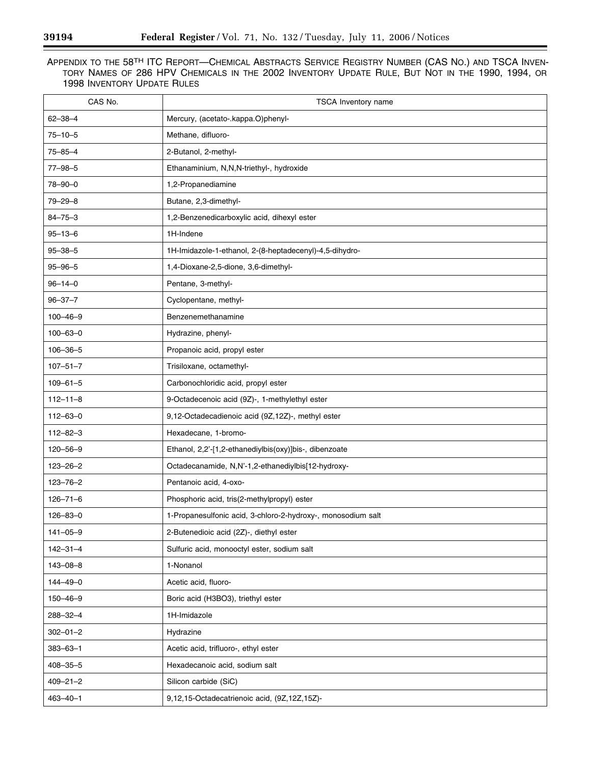| CAS No.        | TSCA Inventory name                                          |
|----------------|--------------------------------------------------------------|
| $62 - 38 - 4$  | Mercury, (acetato-.kappa.O)phenyl-                           |
| $75 - 10 - 5$  | Methane, difluoro-                                           |
| $75 - 85 - 4$  | 2-Butanol, 2-methyl-                                         |
| $77 - 98 - 5$  | Ethanaminium, N,N,N-triethyl-, hydroxide                     |
| $78 - 90 - 0$  | 1,2-Propanediamine                                           |
| $79 - 29 - 8$  | Butane, 2,3-dimethyl-                                        |
| $84 - 75 - 3$  | 1,2-Benzenedicarboxylic acid, dihexyl ester                  |
| $95 - 13 - 6$  | 1H-Indene                                                    |
| $95 - 38 - 5$  | 1H-Imidazole-1-ethanol, 2-(8-heptadecenyl)-4,5-dihydro-      |
| $95 - 96 - 5$  | 1,4-Dioxane-2,5-dione, 3,6-dimethyl-                         |
| $96 - 14 - 0$  | Pentane, 3-methyl-                                           |
| $96 - 37 - 7$  | Cyclopentane, methyl-                                        |
| $100 - 46 - 9$ | Benzenemethanamine                                           |
| $100 - 63 - 0$ | Hydrazine, phenyl-                                           |
| $106 - 36 - 5$ | Propanoic acid, propyl ester                                 |
| $107 - 51 - 7$ | Trisiloxane, octamethyl-                                     |
| $109 - 61 - 5$ | Carbonochloridic acid, propyl ester                          |
| $112 - 11 - 8$ | 9-Octadecenoic acid (9Z)-, 1-methylethyl ester               |
| $112 - 63 - 0$ | 9,12-Octadecadienoic acid (9Z,12Z)-, methyl ester            |
| $112 - 82 - 3$ | Hexadecane, 1-bromo-                                         |
| $120 - 56 - 9$ | Ethanol, 2,2'-[1,2-ethanediylbis(oxy)]bis-, dibenzoate       |
| $123 - 26 - 2$ | Octadecanamide, N,N'-1,2-ethanediylbis[12-hydroxy-           |
| $123 - 76 - 2$ | Pentanoic acid, 4-oxo-                                       |
| $126 - 71 - 6$ | Phosphoric acid, tris(2-methylpropyl) ester                  |
| $126 - 83 - 0$ | 1-Propanesulfonic acid, 3-chloro-2-hydroxy-, monosodium salt |
| $141 - 05 - 9$ | 2-Butenedioic acid (2Z)-, diethyl ester                      |
| $142 - 31 - 4$ | Sulfuric acid, monooctyl ester, sodium salt                  |
| $143 - 08 - 8$ | 1-Nonanol                                                    |
| $144 - 49 - 0$ | Acetic acid, fluoro-                                         |
| $150 - 46 - 9$ | Boric acid (H3BO3), triethyl ester                           |
| $288 - 32 - 4$ | 1H-Imidazole                                                 |
| $302 - 01 - 2$ | Hydrazine                                                    |
| $383 - 63 - 1$ | Acetic acid, trifluoro-, ethyl ester                         |
| $408 - 35 - 5$ | Hexadecanoic acid, sodium salt                               |
| $409 - 21 - 2$ | Silicon carbide (SiC)                                        |
| $463 - 40 - 1$ | 9,12,15-Octadecatrienoic acid, (9Z,12Z,15Z)-                 |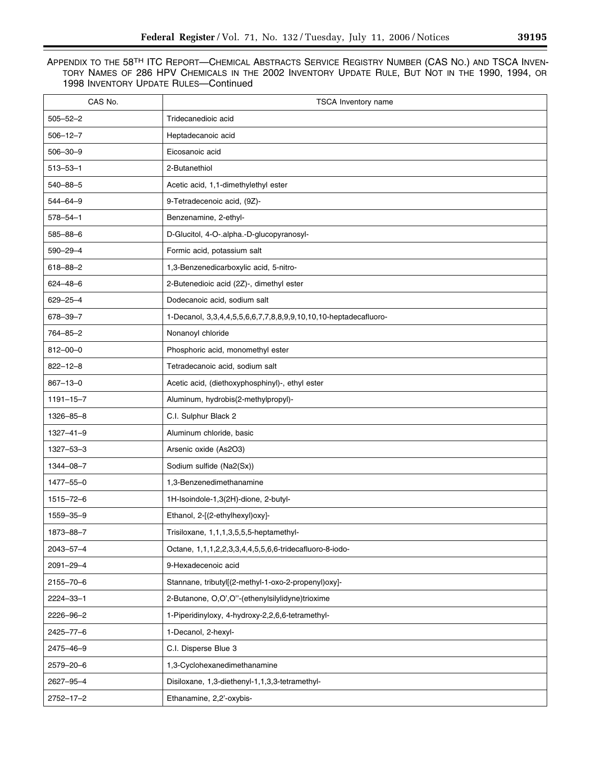| CAS No.         | TSCA Inventory name                                              |
|-----------------|------------------------------------------------------------------|
| $505 - 52 - 2$  | Tridecanedioic acid                                              |
| $506 - 12 - 7$  | Heptadecanoic acid                                               |
| $506 - 30 - 9$  | Eicosanoic acid                                                  |
| $513 - 53 - 1$  | 2-Butanethiol                                                    |
| 540-88-5        | Acetic acid, 1,1-dimethylethyl ester                             |
| $544 - 64 - 9$  | 9-Tetradecenoic acid, (9Z)-                                      |
| $578 - 54 - 1$  | Benzenamine, 2-ethyl-                                            |
| $585 - 88 - 6$  | D-Glucitol, 4-O-.alpha.-D-glucopyranosyl-                        |
| 590-29-4        | Formic acid, potassium salt                                      |
| $618 - 88 - 2$  | 1,3-Benzenedicarboxylic acid, 5-nitro-                           |
| $624 - 48 - 6$  | 2-Butenedioic acid (2Z)-, dimethyl ester                         |
| 629-25-4        | Dodecanoic acid, sodium salt                                     |
| 678-39-7        | 1-Decanol, 3,3,4,4,5,5,6,6,7,7,8,8,9,9,10,10,10-heptadecafluoro- |
| 764-85-2        | Nonanoyl chloride                                                |
| $812 - 00 - 0$  | Phosphoric acid, monomethyl ester                                |
| $822 - 12 - 8$  | Tetradecanoic acid, sodium salt                                  |
| $867 - 13 - 0$  | Acetic acid, (diethoxyphosphinyl)-, ethyl ester                  |
| $1191 - 15 - 7$ | Aluminum, hydrobis(2-methylpropyl)-                              |
| 1326-85-8       | C.I. Sulphur Black 2                                             |
| $1327 - 41 - 9$ | Aluminum chloride, basic                                         |
| $1327 - 53 - 3$ | Arsenic oxide (As2O3)                                            |
| 1344-08-7       | Sodium sulfide (Na2(Sx))                                         |
| 1477-55-0       | 1,3-Benzenedimethanamine                                         |
| $1515 - 72 - 6$ | 1H-Isoindole-1,3(2H)-dione, 2-butyl-                             |
| 1559-35-9       | Ethanol, 2-[(2-ethylhexyl)oxy]-                                  |
| 1873-88-7       | Trisiloxane, 1,1,1,3,5,5,5-heptamethyl-                          |
| 2043-57-4       | Octane, 1,1,1,2,2,3,3,4,4,5,5,6,6-tridecafluoro-8-iodo-          |
| 2091-29-4       | 9-Hexadecenoic acid                                              |
| 2155-70-6       | Stannane, tributyl[(2-methyl-1-oxo-2-propenyl)oxy]-              |
| 2224-33-1       | 2-Butanone, O,O',O"-(ethenylsilylidyne)trioxime                  |
| 2226-96-2       | 1-Piperidinyloxy, 4-hydroxy-2,2,6,6-tetramethyl-                 |
| 2425-77-6       | 1-Decanol, 2-hexyl-                                              |
| 2475-46-9       | C.I. Disperse Blue 3                                             |
| 2579-20-6       | 1,3-Cyclohexanedimethanamine                                     |
| 2627-95-4       | Disiloxane, 1,3-diethenyl-1,1,3,3-tetramethyl-                   |
| $2752 - 17 - 2$ | Ethanamine, 2,2'-oxybis-                                         |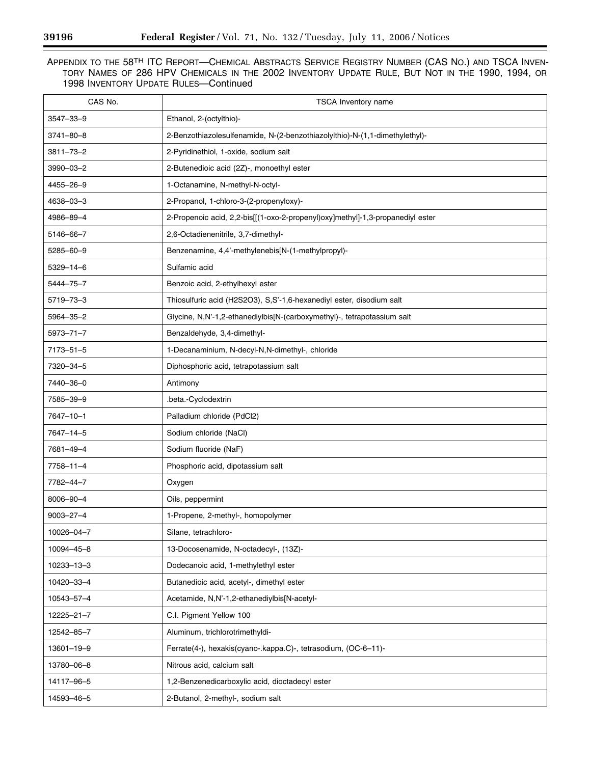| CAS No.          | TSCA Inventory name                                                            |
|------------------|--------------------------------------------------------------------------------|
| 3547-33-9        | Ethanol, 2-(octylthio)-                                                        |
| $3741 - 80 - 8$  | 2-Benzothiazolesulfenamide, N-(2-benzothiazolylthio)-N-(1,1-dimethylethyl)-    |
| $3811 - 73 - 2$  | 2-Pyridinethiol, 1-oxide, sodium salt                                          |
| 3990-03-2        | 2-Butenedioic acid (2Z)-, monoethyl ester                                      |
| 4455-26-9        | 1-Octanamine, N-methyl-N-octyl-                                                |
| 4638-03-3        | 2-Propanol, 1-chloro-3-(2-propenyloxy)-                                        |
| 4986-89-4        | 2-Propenoic acid, 2,2-bis[[(1-oxo-2-propenyl)oxy]methyl]-1,3-propanediyl ester |
| 5146-66-7        | 2,6-Octadienenitrile, 3,7-dimethyl-                                            |
| 5285-60-9        | Benzenamine, 4,4'-methylenebis[N-(1-methylpropyl)-                             |
| $5329 - 14 - 6$  | Sulfamic acid                                                                  |
| 5444-75-7        | Benzoic acid, 2-ethylhexyl ester                                               |
| 5719-73-3        | Thiosulfuric acid (H2S2O3), S,S'-1,6-hexanediyl ester, disodium salt           |
| 5964-35-2        | Glycine, N,N'-1,2-ethanediylbis[N-(carboxymethyl)-, tetrapotassium salt        |
| $5973 - 71 - 7$  | Benzaldehyde, 3,4-dimethyl-                                                    |
| $7173 - 51 - 5$  | 1-Decanaminium, N-decyl-N,N-dimethyl-, chloride                                |
| 7320-34-5        | Diphosphoric acid, tetrapotassium salt                                         |
| 7440-36-0        | Antimony                                                                       |
| 7585-39-9        | .beta.-Cyclodextrin                                                            |
| 7647-10-1        | Palladium chloride (PdCl2)                                                     |
| 7647-14-5        | Sodium chloride (NaCl)                                                         |
| 7681-49-4        | Sodium fluoride (NaF)                                                          |
| $7758 - 11 - 4$  | Phosphoric acid, dipotassium salt                                              |
| 7782-44-7        | Oxygen                                                                         |
| 8006-90-4        | Oils, peppermint                                                               |
| $9003 - 27 - 4$  | 1-Propene, 2-methyl-, homopolymer                                              |
| 10026-04-7       | Silane, tetrachloro-                                                           |
| 10094-45-8       | 13-Docosenamide, N-octadecyl-, (13Z)-                                          |
| 10233-13-3       | Dodecanoic acid, 1-methylethyl ester                                           |
| 10420-33-4       | Butanedioic acid, acetyl-, dimethyl ester                                      |
| 10543-57-4       | Acetamide, N,N'-1,2-ethanediylbis[N-acetyl-                                    |
| $12225 - 21 - 7$ | C.I. Pigment Yellow 100                                                        |
| 12542-85-7       | Aluminum, trichlorotrimethyldi-                                                |
| 13601-19-9       | Ferrate(4-), hexakis(cyano-.kappa.C)-, tetrasodium, (OC-6-11)-                 |
| 13780-06-8       | Nitrous acid, calcium salt                                                     |
| 14117-96-5       | 1,2-Benzenedicarboxylic acid, dioctadecyl ester                                |
| 14593-46-5       | 2-Butanol, 2-methyl-, sodium salt                                              |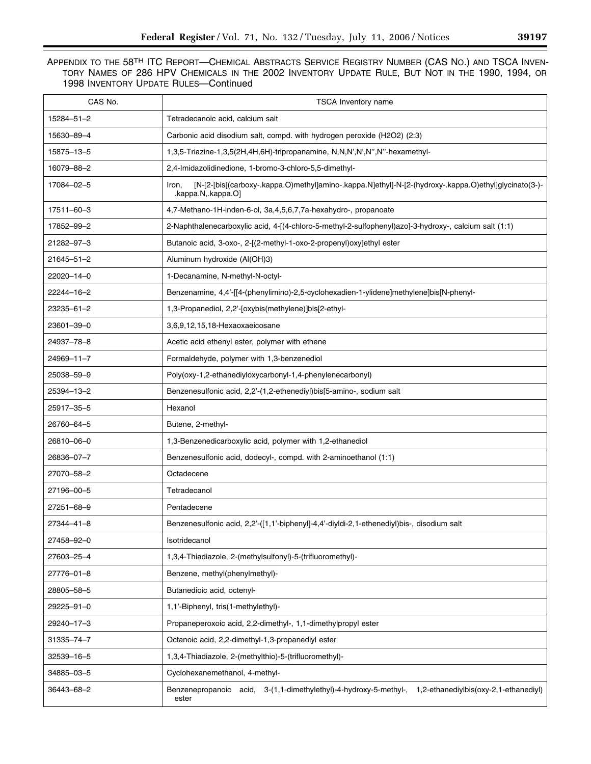| CAS No.    | <b>TSCA Inventory name</b>                                                                                                         |
|------------|------------------------------------------------------------------------------------------------------------------------------------|
| 15284-51-2 | Tetradecanoic acid, calcium salt                                                                                                   |
| 15630-89-4 | Carbonic acid disodium salt, compd. with hydrogen peroxide (H2O2) (2:3)                                                            |
| 15875-13-5 | 1,3,5-Triazine-1,3,5(2H,4H,6H)-tripropanamine, N,N,N',N',N'',N''-hexamethyl-                                                       |
| 16079-88-2 | 2,4-Imidazolidinedione, 1-bromo-3-chloro-5,5-dimethyl-                                                                             |
| 17084-02-5 | [N-[2-[bis[(carboxy-.kappa.O)methyl]amino-.kappa.N]ethyl]-N-[2-(hydroxy-.kappa.O)ethyl]glycinato(3-)-<br>Iron,<br>.kappa.Nkappa.O] |
| 17511-60-3 | 4,7-Methano-1H-inden-6-ol, 3a,4,5,6,7,7a-hexahydro-, propanoate                                                                    |
| 17852-99-2 | 2-Naphthalenecarboxylic acid, 4-[(4-chloro-5-methyl-2-sulfophenyl)azo]-3-hydroxy-, calcium salt (1:1)                              |
| 21282-97-3 | Butanoic acid, 3-oxo-, 2-[(2-methyl-1-oxo-2-propenyl)oxy]ethyl ester                                                               |
| 21645-51-2 | Aluminum hydroxide (Al(OH)3)                                                                                                       |
| 22020-14-0 | 1-Decanamine, N-methyl-N-octyl-                                                                                                    |
| 22244-16-2 | Benzenamine, 4,4'-[[4-(phenylimino)-2,5-cyclohexadien-1-ylidene]methylene]bis[N-phenyl-                                            |
| 23235-61-2 | 1,3-Propanediol, 2,2'-[oxybis(methylene)]bis[2-ethyl-                                                                              |
| 23601-39-0 | 3,6,9,12,15,18-Hexaoxaeicosane                                                                                                     |
| 24937-78-8 | Acetic acid ethenyl ester, polymer with ethene                                                                                     |
| 24969-11-7 | Formaldehyde, polymer with 1,3-benzenediol                                                                                         |
| 25038-59-9 | Poly(oxy-1,2-ethanediyloxycarbonyl-1,4-phenylenecarbonyl)                                                                          |
| 25394-13-2 | Benzenesulfonic acid, 2,2'-(1,2-ethenediyl)bis[5-amino-, sodium salt                                                               |
| 25917-35-5 | Hexanol                                                                                                                            |
| 26760-64-5 | Butene, 2-methyl-                                                                                                                  |
| 26810-06-0 | 1,3-Benzenedicarboxylic acid, polymer with 1,2-ethanediol                                                                          |
| 26836-07-7 | Benzenesulfonic acid, dodecyl-, compd. with 2-aminoethanol (1:1)                                                                   |
| 27070-58-2 | Octadecene                                                                                                                         |
| 27196-00-5 | Tetradecanol                                                                                                                       |
| 27251-68-9 | Pentadecene                                                                                                                        |
| 27344-41-8 | Benzenesulfonic acid, 2,2'-([1,1'-biphenyl]-4,4'-diyldi-2,1-ethenediyl)bis-, disodium salt                                         |
| 27458-92-0 | Isotridecanol                                                                                                                      |
| 27603-25-4 | 1,3,4-Thiadiazole, 2-(methylsulfonyl)-5-(trifluoromethyl)-                                                                         |
| 27776-01-8 | Benzene, methyl(phenylmethyl)-                                                                                                     |
| 28805-58-5 | Butanedioic acid, octenyl-                                                                                                         |
| 29225-91-0 | 1,1'-Biphenyl, tris(1-methylethyl)-                                                                                                |
| 29240-17-3 | Propaneperoxoic acid, 2,2-dimethyl-, 1,1-dimethylpropyl ester                                                                      |
| 31335-74-7 | Octanoic acid, 2,2-dimethyl-1,3-propanediyl ester                                                                                  |
| 32539-16-5 | 1,3,4-Thiadiazole, 2-(methylthio)-5-(trifluoromethyl)-                                                                             |
| 34885-03-5 | Cyclohexanemethanol, 4-methyl-                                                                                                     |
| 36443-68-2 | Benzenepropanoic acid, 3-(1,1-dimethylethyl)-4-hydroxy-5-methyl-, 1,2-ethanediylbis(oxy-2,1-ethanediyl)<br>ester                   |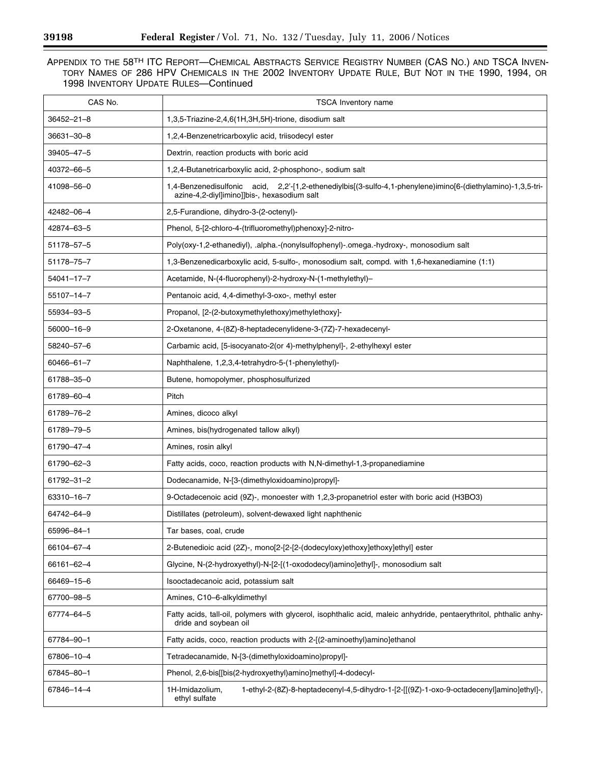| CAS No.          | <b>TSCA Inventory name</b>                                                                                                                                  |
|------------------|-------------------------------------------------------------------------------------------------------------------------------------------------------------|
| $36452 - 21 - 8$ | 1,3,5-Triazine-2,4,6(1H,3H,5H)-trione, disodium salt                                                                                                        |
| 36631-30-8       | 1,2,4-Benzenetricarboxylic acid, triisodecyl ester                                                                                                          |
| 39405-47-5       | Dextrin, reaction products with boric acid                                                                                                                  |
| 40372-66-5       | 1,2,4-Butanetricarboxylic acid, 2-phosphono-, sodium salt                                                                                                   |
| 41098-56-0       | 1,4-Benzenedisulfonic acid, 2,2'-[1,2-ethenediylbis[(3-sulfo-4,1-phenylene)imino[6-(diethylamino)-1,3,5-tri-<br>azine-4,2-diyl]imino]]bis-, hexasodium salt |
| 42482-06-4       | 2,5-Furandione, dihydro-3-(2-octenyl)-                                                                                                                      |
| 42874-63-5       | Phenol, 5-[2-chloro-4-(trifluoromethyl)phenoxy]-2-nitro-                                                                                                    |
| 51178-57-5       | Poly(oxy-1,2-ethanediyl), .alpha.-(nonylsulfophenyl)-.omega.-hydroxy-, monosodium salt                                                                      |
| 51178-75-7       | 1,3-Benzenedicarboxylic acid, 5-sulfo-, monosodium salt, compd. with 1,6-hexanediamine (1:1)                                                                |
| 54041-17-7       | Acetamide, N-(4-fluorophenyl)-2-hydroxy-N-(1-methylethyl)-                                                                                                  |
| 55107-14-7       | Pentanoic acid, 4,4-dimethyl-3-oxo-, methyl ester                                                                                                           |
| 55934-93-5       | Propanol, [2-(2-butoxymethylethoxy)methylethoxy]-                                                                                                           |
| 56000-16-9       | 2-Oxetanone, 4-(8Z)-8-heptadecenylidene-3-(7Z)-7-hexadecenyl-                                                                                               |
| 58240-57-6       | Carbamic acid, [5-isocyanato-2(or 4)-methylphenyl]-, 2-ethylhexyl ester                                                                                     |
| 60466-61-7       | Naphthalene, 1,2,3,4-tetrahydro-5-(1-phenylethyl)-                                                                                                          |
| 61788-35-0       | Butene, homopolymer, phosphosulfurized                                                                                                                      |
| 61789-60-4       | Pitch                                                                                                                                                       |
| 61789-76-2       | Amines, dicoco alkyl                                                                                                                                        |
| 61789-79-5       | Amines, bis(hydrogenated tallow alkyl)                                                                                                                      |
| 61790-47-4       | Amines, rosin alkyl                                                                                                                                         |
| 61790-62-3       | Fatty acids, coco, reaction products with N,N-dimethyl-1,3-propanediamine                                                                                   |
| 61792-31-2       | Dodecanamide, N-[3-(dimethyloxidoamino)propyl]-                                                                                                             |
| 63310-16-7       | 9-Octadecenoic acid (9Z)-, monoester with 1,2,3-propanetriol ester with boric acid (H3BO3)                                                                  |
| 64742-64-9       | Distillates (petroleum), solvent-dewaxed light naphthenic                                                                                                   |
| 65996-84-1       | Tar bases, coal, crude                                                                                                                                      |
| 66104-67-4       | 2-Butenedioic acid (2Z)-, mono[2-[2-[2-(dodecyloxy)ethoxy]ethoxy]ethyl] ester                                                                               |
| 66161-62-4       | Glycine, N-(2-hydroxyethyl)-N-[2-[(1-oxododecyl)amino]ethyl]-, monosodium salt                                                                              |
| 66469-15-6       | Isooctadecanoic acid, potassium salt                                                                                                                        |
| 67700-98-5       | Amines, C10-6-alkyldimethyl                                                                                                                                 |
| 67774-64-5       | Fatty acids, tall-oil, polymers with glycerol, isophthalic acid, maleic anhydride, pentaerythritol, phthalic anhy-<br>dride and soybean oil                 |
| 67784-90-1       | Fatty acids, coco, reaction products with 2-[(2-aminoethyl)amino]ethanol                                                                                    |
| 67806-10-4       | Tetradecanamide, N-[3-(dimethyloxidoamino)propyl]-                                                                                                          |
| 67845-80-1       | Phenol, 2,6-bis[[bis(2-hydroxyethyl)amino]methyl]-4-dodecyl-                                                                                                |
| 67846-14-4       | 1-ethyl-2-(8Z)-8-heptadecenyl-4,5-dihydro-1-[2-[[(9Z)-1-oxo-9-octadecenyl]amino]ethyl]-,<br>1H-Imidazolium,<br>ethyl sulfate                                |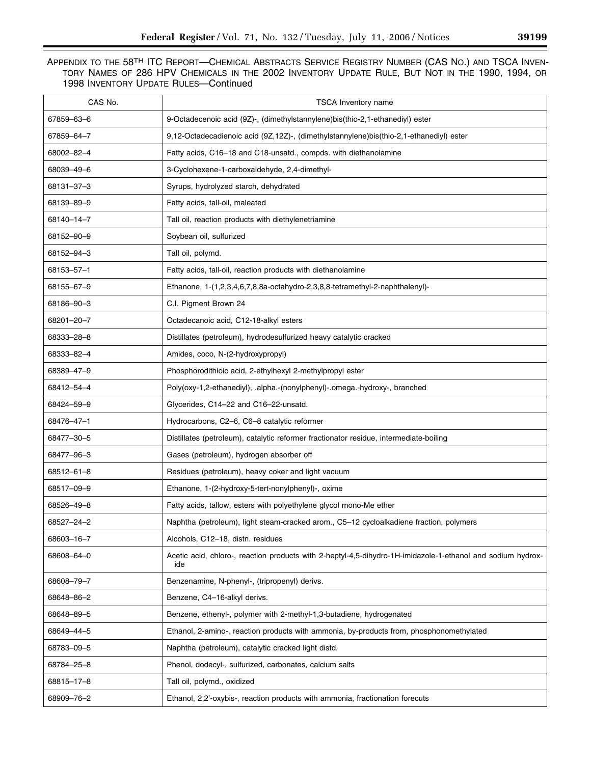| CAS No.    | <b>TSCA Inventory name</b>                                                                                         |
|------------|--------------------------------------------------------------------------------------------------------------------|
| 67859-63-6 | 9-Octadecenoic acid (9Z)-, (dimethylstannylene)bis(thio-2,1-ethanediyl) ester                                      |
| 67859-64-7 | 9,12-Octadecadienoic acid (9Z,12Z)-, (dimethylstannylene)bis(thio-2,1-ethanediyl) ester                            |
| 68002-82-4 | Fatty acids, C16-18 and C18-unsatd., compds. with diethanolamine                                                   |
| 68039-49-6 | 3-Cyclohexene-1-carboxaldehyde, 2,4-dimethyl-                                                                      |
| 68131-37-3 | Syrups, hydrolyzed starch, dehydrated                                                                              |
| 68139-89-9 | Fatty acids, tall-oil, maleated                                                                                    |
| 68140-14-7 | Tall oil, reaction products with diethylenetriamine                                                                |
| 68152-90-9 | Soybean oil, sulfurized                                                                                            |
| 68152-94-3 | Tall oil, polymd.                                                                                                  |
| 68153-57-1 | Fatty acids, tall-oil, reaction products with diethanolamine                                                       |
| 68155-67-9 | Ethanone, 1-(1,2,3,4,6,7,8,8a-octahydro-2,3,8,8-tetramethyl-2-naphthalenyl)-                                       |
| 68186-90-3 | C.I. Pigment Brown 24                                                                                              |
| 68201-20-7 | Octadecanoic acid, C12-18-alkyl esters                                                                             |
| 68333-28-8 | Distillates (petroleum), hydrodesulfurized heavy catalytic cracked                                                 |
| 68333-82-4 | Amides, coco, N-(2-hydroxypropyl)                                                                                  |
| 68389-47-9 | Phosphorodithioic acid, 2-ethylhexyl 2-methylpropyl ester                                                          |
| 68412-54-4 | Poly(oxy-1,2-ethanediyl), .alpha.-(nonylphenyl)-.omega.-hydroxy-, branched                                         |
| 68424-59-9 | Glycerides, C14-22 and C16-22-unsatd.                                                                              |
| 68476-47-1 | Hydrocarbons, C2-6, C6-8 catalytic reformer                                                                        |
| 68477-30-5 | Distillates (petroleum), catalytic reformer fractionator residue, intermediate-boiling                             |
| 68477-96-3 | Gases (petroleum), hydrogen absorber off                                                                           |
| 68512-61-8 | Residues (petroleum), heavy coker and light vacuum                                                                 |
| 68517-09-9 | Ethanone, 1-(2-hydroxy-5-tert-nonylphenyl)-, oxime                                                                 |
| 68526-49-8 | Fatty acids, tallow, esters with polyethylene glycol mono-Me ether                                                 |
| 68527-24-2 | Naphtha (petroleum), light steam-cracked arom., C5-12 cycloalkadiene fraction, polymers                            |
| 68603-16-7 | Alcohols, C12-18, distn. residues                                                                                  |
| 68608-64-0 | Acetic acid, chloro-, reaction products with 2-heptyl-4,5-dihydro-1H-imidazole-1-ethanol and sodium hydrox-<br>ide |
| 68608-79-7 | Benzenamine, N-phenyl-, (tripropenyl) derivs.                                                                      |
| 68648-86-2 | Benzene, C4-16-alkyl derivs.                                                                                       |
| 68648-89-5 | Benzene, ethenyl-, polymer with 2-methyl-1,3-butadiene, hydrogenated                                               |
| 68649-44-5 | Ethanol, 2-amino-, reaction products with ammonia, by-products from, phosphonomethylated                           |
| 68783-09-5 | Naphtha (petroleum), catalytic cracked light distd.                                                                |
| 68784-25-8 | Phenol, dodecyl-, sulfurized, carbonates, calcium salts                                                            |
| 68815-17-8 | Tall oil, polymd., oxidized                                                                                        |
| 68909-76-2 | Ethanol, 2,2'-oxybis-, reaction products with ammonia, fractionation forecuts                                      |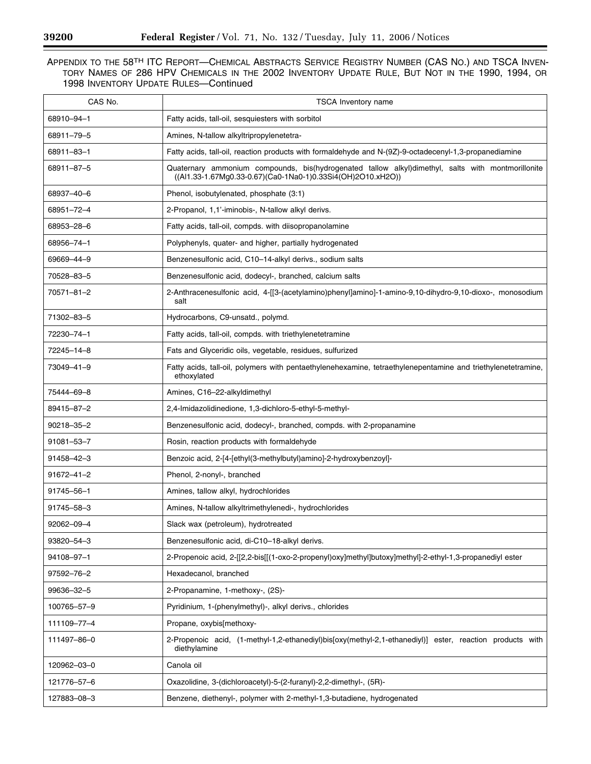$\equiv$ 

| CAS No.          | <b>TSCA Inventory name</b>                                                                                                                                       |
|------------------|------------------------------------------------------------------------------------------------------------------------------------------------------------------|
| 68910-94-1       | Fatty acids, tall-oil, sesquiesters with sorbitol                                                                                                                |
| 68911-79-5       | Amines, N-tallow alkyltripropylenetetra-                                                                                                                         |
| 68911-83-1       | Fatty acids, tall-oil, reaction products with formaldehyde and N-(9Z)-9-octadecenyl-1,3-propanediamine                                                           |
| 68911-87-5       | Quaternary ammonium compounds, bis(hydrogenated tallow alkyl)dimethyl, salts with montmorillonite<br>((Al1.33-1.67Mg0.33-0.67)(Ca0-1Na0-1)0.33Si4(OH)2O10.xH2O)) |
| 68937-40-6       | Phenol, isobutylenated, phosphate (3:1)                                                                                                                          |
| 68951-72-4       | 2-Propanol, 1,1'-iminobis-, N-tallow alkyl derivs.                                                                                                               |
| 68953-28-6       | Fatty acids, tall-oil, compds. with diisopropanolamine                                                                                                           |
| 68956-74-1       | Polyphenyls, quater- and higher, partially hydrogenated                                                                                                          |
| 69669-44-9       | Benzenesulfonic acid, C10-14-alkyl derivs., sodium salts                                                                                                         |
| 70528-83-5       | Benzenesulfonic acid, dodecyl-, branched, calcium salts                                                                                                          |
| 70571-81-2       | 2-Anthracenesulfonic acid, 4-[[3-(acetylamino)phenyl]amino]-1-amino-9,10-dihydro-9,10-dioxo-, monosodium<br>salt                                                 |
| 71302-83-5       | Hydrocarbons, C9-unsatd., polymd.                                                                                                                                |
| 72230-74-1       | Fatty acids, tall-oil, compds. with triethylenetetramine                                                                                                         |
| 72245-14-8       | Fats and Glyceridic oils, vegetable, residues, sulfurized                                                                                                        |
| 73049-41-9       | Fatty acids, tall-oil, polymers with pentaethylenehexamine, tetraethylenepentamine and triethylenetetramine,<br>ethoxylated                                      |
| 75444-69-8       | Amines, C16-22-alkyldimethyl                                                                                                                                     |
| 89415-87-2       | 2,4-Imidazolidinedione, 1,3-dichloro-5-ethyl-5-methyl-                                                                                                           |
| 90218-35-2       | Benzenesulfonic acid, dodecyl-, branched, compds. with 2-propanamine                                                                                             |
| 91081-53-7       | Rosin, reaction products with formaldehyde                                                                                                                       |
| 91458-42-3       | Benzoic acid, 2-[4-[ethyl(3-methylbutyl)amino]-2-hydroxybenzoyl]-                                                                                                |
| $91672 - 41 - 2$ | Phenol, 2-nonyl-, branched                                                                                                                                       |
| 91745-56-1       | Amines, tallow alkyl, hydrochlorides                                                                                                                             |
| 91745-58-3       | Amines, N-tallow alkyltrimethylenedi-, hydrochlorides                                                                                                            |
| 92062-09-4       | Slack wax (petroleum), hydrotreated                                                                                                                              |
| 93820-54-3       | Benzenesulfonic acid, di-C10-18-alkyl derivs.                                                                                                                    |
| 94108-97-1       | 2-Propenoic acid, 2-[[2,2-bis[[(1-oxo-2-propenyl)oxy]methyl]butoxy]methyl]-2-ethyl-1,3-propanediyl ester                                                         |
| 97592-76-2       | Hexadecanol, branched                                                                                                                                            |
| 99636-32-5       | 2-Propanamine, 1-methoxy-, (2S)-                                                                                                                                 |
| 100765-57-9      | Pyridinium, 1-(phenylmethyl)-, alkyl derivs., chlorides                                                                                                          |
| 111109-77-4      | Propane, oxybis[methoxy-                                                                                                                                         |
| 111497-86-0      | 2-Propenoic acid, (1-methyl-1,2-ethanediyl)bis[oxy(methyl-2,1-ethanediyl)] ester, reaction products with<br>diethylamine                                         |
| 120962-03-0      | Canola oil                                                                                                                                                       |
| 121776-57-6      | Oxazolidine, 3-(dichloroacetyl)-5-(2-furanyl)-2,2-dimethyl-, (5R)-                                                                                               |
| 127883-08-3      | Benzene, diethenyl-, polymer with 2-methyl-1,3-butadiene, hydrogenated                                                                                           |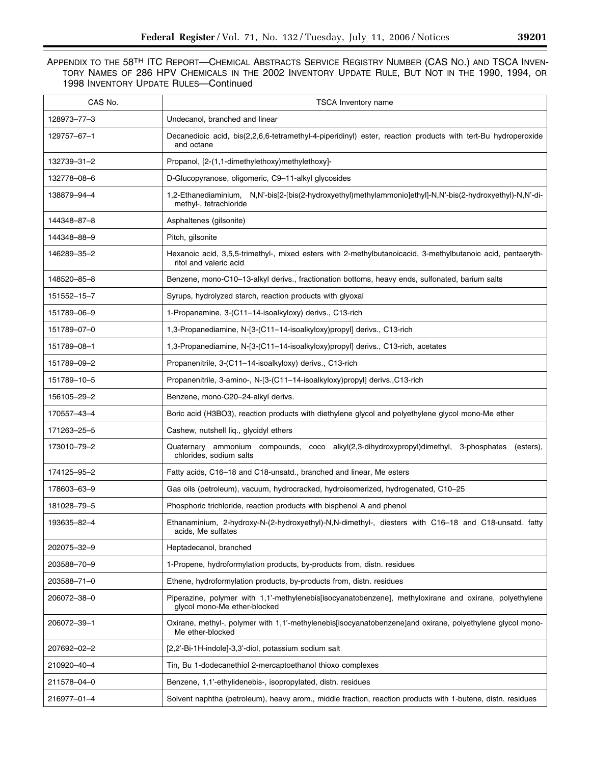| CAS No.     | <b>TSCA Inventory name</b>                                                                                                             |
|-------------|----------------------------------------------------------------------------------------------------------------------------------------|
| 128973-77-3 | Undecanol, branched and linear                                                                                                         |
| 129757-67-1 | Decanedioic acid, bis(2,2,6,6-tetramethyl-4-piperidinyl) ester, reaction products with tert-Bu hydroperoxide<br>and octane             |
| 132739-31-2 | Propanol, [2-(1,1-dimethylethoxy)methylethoxy]-                                                                                        |
| 132778-08-6 | D-Glucopyranose, oligomeric, C9-11-alkyl glycosides                                                                                    |
| 138879-94-4 | 1,2-Ethanediaminium, N,N'-bis[2-[bis(2-hydroxyethyl)methylammonio]ethyl]-N,N'-bis(2-hydroxyethyl)-N,N'-di-<br>methyl-, tetrachloride   |
| 144348-87-8 | Asphaltenes (gilsonite)                                                                                                                |
| 144348-88-9 | Pitch, gilsonite                                                                                                                       |
| 146289-35-2 | Hexanoic acid, 3,5,5-trimethyl-, mixed esters with 2-methylbutanoicacid, 3-methylbutanoic acid, pentaeryth-<br>ritol and valeric acid  |
| 148520-85-8 | Benzene, mono-C10–13-alkyl derivs., fractionation bottoms, heavy ends, sulfonated, barium salts                                        |
| 151552-15-7 | Syrups, hydrolyzed starch, reaction products with glyoxal                                                                              |
| 151789-06-9 | 1-Propanamine, 3-(C11-14-isoalkyloxy) derivs., C13-rich                                                                                |
| 151789-07-0 | 1,3-Propanediamine, N-[3-(C11-14-isoalkyloxy)propyl] derivs., C13-rich                                                                 |
| 151789-08-1 | 1,3-Propanediamine, N-[3-(C11-14-isoalkyloxy)propyl] derivs., C13-rich, acetates                                                       |
| 151789-09-2 | Propanenitrile, 3-(C11–14-isoalkyloxy) derivs., C13-rich                                                                               |
| 151789-10-5 | Propanenitrile, 3-amino-, N-[3-(C11-14-isoalkyloxy)propyl] derivs., C13-rich                                                           |
| 156105-29-2 | Benzene, mono-C20-24-alkyl derivs.                                                                                                     |
| 170557-43-4 | Boric acid (H3BO3), reaction products with diethylene glycol and polyethylene glycol mono-Me ether                                     |
| 171263-25-5 | Cashew, nutshell liq., glycidyl ethers                                                                                                 |
| 173010-79-2 | Quaternary ammonium compounds, coco alkyl(2,3-dihydroxypropyl)dimethyl, 3-phosphates<br>(esters),<br>chlorides, sodium salts           |
| 174125-95-2 | Fatty acids, C16-18 and C18-unsatd., branched and linear, Me esters                                                                    |
| 178603-63-9 | Gas oils (petroleum), vacuum, hydrocracked, hydroisomerized, hydrogenated, C10-25                                                      |
| 181028-79-5 | Phosphoric trichloride, reaction products with bisphenol A and phenol                                                                  |
| 193635-82-4 | Ethanaminium, 2-hydroxy-N-(2-hydroxyethyl)-N,N-dimethyl-, diesters with C16-18 and C18-unsatd. fatty<br>acids, Me sulfates             |
| 202075-32-9 | Heptadecanol, branched                                                                                                                 |
| 203588-70-9 | 1-Propene, hydroformylation products, by-products from, distn. residues                                                                |
| 203588-71-0 | Ethene, hydroformylation products, by-products from, distn. residues                                                                   |
| 206072-38-0 | Piperazine, polymer with 1,1'-methylenebis[isocyanatobenzene], methyloxirane and oxirane, polyethylene<br>givcol mono-Me ether-blocked |
| 206072-39-1 | Oxirane, methyl-, polymer with 1,1'-methylenebis[isocyanatobenzene]and oxirane, polyethylene glycol mono-<br>Me ether-blocked          |
| 207692-02-2 | [2,2'-Bi-1H-indole]-3,3'-diol, potassium sodium salt                                                                                   |
| 210920-40-4 | Tin, Bu 1-dodecanethiol 2-mercaptoethanol thioxo complexes                                                                             |
| 211578-04-0 | Benzene, 1,1'-ethylidenebis-, isopropylated, distn. residues                                                                           |
| 216977-01-4 | Solvent naphtha (petroleum), heavy arom., middle fraction, reaction products with 1-butene, distn. residues                            |